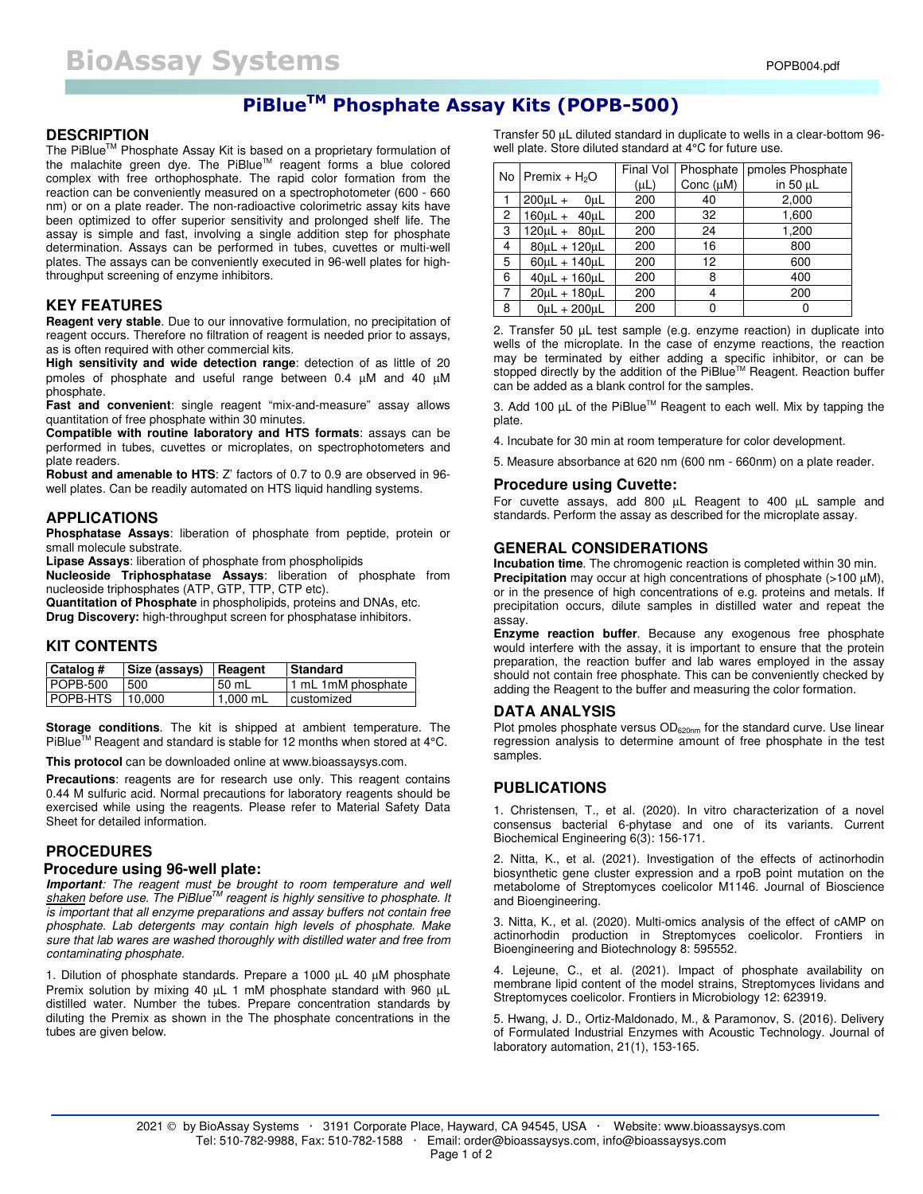## **PiBlueTM Phosphate Assay Kits (POPB-500)**

#### **DESCRIPTION**

The PiBlue<sup>™</sup> Phosphate Assay Kit is based on a proprietary formulation of the malachite green dye. The PiBlue™ reagent forms a blue colored complex with free orthophosphate. The rapid color formation from the reaction can be conveniently measured on a spectrophotometer (600 - 660 nm) or on a plate reader. The non-radioactive colorimetric assay kits have been optimized to offer superior sensitivity and prolonged shelf life. The assay is simple and fast, involving a single addition step for phosphate determination. Assays can be performed in tubes, cuvettes or multi-well plates. The assays can be conveniently executed in 96-well plates for highthroughput screening of enzyme inhibitors.

#### **KEY FEATURES**

**Reagent very stable**. Due to our innovative formulation, no precipitation of reagent occurs. Therefore no filtration of reagent is needed prior to assays, as is often required with other commercial kits.

**High sensitivity and wide detection range**: detection of as little of 20 pmoles of phosphate and useful range between 0.4 µM and 40 µM phosphate.

**Fast and convenient**: single reagent "mix-and-measure" assay allows quantitation of free phosphate within 30 minutes.

**Compatible with routine laboratory and HTS formats**: assays can be performed in tubes, cuvettes or microplates, on spectrophotometers and plate readers.

**Robust and amenable to HTS**: Z' factors of 0.7 to 0.9 are observed in 96 well plates. Can be readily automated on HTS liquid handling systems.

#### **APPLICATIONS**

**Phosphatase Assays**: liberation of phosphate from peptide, protein or small molecule substrate.

**Lipase Assays**: liberation of phosphate from phospholipids

**Nucleoside Triphosphatase Assays**: liberation of phosphate from nucleoside triphosphates (ATP, GTP, TTP, CTP etc).

**Quantitation of Phosphate** in phospholipids, proteins and DNAs, etc. **Drug Discovery:** high-throughput screen for phosphatase inhibitors.

#### **KIT CONTENTS**

| Catalog #       | Size (assays) | Reagent  | <b>Standard</b>     |
|-----------------|---------------|----------|---------------------|
| POPB-500        | 500           | 50 mL    | 1 mL 1 mM phosphate |
| <b>POPB-HTS</b> | 10.000        | 1.000 mL | <b>customized</b>   |

**Storage conditions**. The kit is shipped at ambient temperature. The PiBlue™ Reagent and standard is stable for 12 months when stored at 4°C.

**This protocol** can be downloaded online at www.bioassaysys.com.

**Precautions**: reagents are for research use only. This reagent contains 0.44 M sulfuric acid. Normal precautions for laboratory reagents should be exercised while using the reagents. Please refer to Material Safety Data Sheet for detailed information.

#### **PROCEDURES**

#### **Procedure using 96-well plate:**

**Important***: The reagent must be brought to room temperature and well shaken before use. The PiBlueTM reagent is highly sensitive to phosphate. It is important that all enzyme preparations and assay buffers not contain free phosphate. Lab detergents may contain high levels of phosphate. Make sure that lab wares are washed thoroughly with distilled water and free from contaminating phosphate.* 

1. Dilution of phosphate standards. Prepare a 1000 µL 40 µM phosphate Premix solution by mixing 40 µL 1 mM phosphate standard with 960 µL distilled water. Number the tubes. Prepare concentration standards by diluting the Premix as shown in the The phosphate concentrations in the tubes are given below.

Transfer 50 µL diluted standard in duplicate to wells in a clear-bottom 96 well plate. Store diluted standard at 4°C for future use.

|                | No Premix + $H_2O$   | Final Vol | <b>Phosphate</b> | pmoles Phosphate |
|----------------|----------------------|-----------|------------------|------------------|
|                |                      | $(\mu L)$ | Conc $(\mu M)$   | in 50 µL         |
|                | $200 \mu L +$<br>0uL | 200       | 40               | 2,000            |
| $\overline{c}$ | $160\mu L + 40\mu L$ | 200       | 32               | 1,600            |
| 3              | $120\mu L + 80\mu L$ | 200       | 24               | 1,200            |
| 4              | $80\mu L + 120\mu L$ | 200       | 16               | 800              |
| 5              | $60\mu L + 140\mu L$ | 200       | 12               | 600              |
| 6              | $40\mu L + 160\mu L$ | 200       | 8                | 400              |
| $\overline{7}$ | 20uL + 180uL         | 200       | 4                | 200              |
| 8              | $0$ uL + 200 uL      | 200       |                  | 0                |

2. Transfer 50 µL test sample (e.g. enzyme reaction) in duplicate into wells of the microplate. In the case of enzyme reactions, the reaction may be terminated by either adding a specific inhibitor, or can be stopped directly by the addition of the PiBlue™ Reagent. Reaction buffer can be added as a blank control for the samples.

3. Add 100 µL of the PiBlue<sup>™</sup> Reagent to each well. Mix by tapping the plate.

4. Incubate for 30 min at room temperature for color development.

5. Measure absorbance at 620 nm (600 nm - 660nm) on a plate reader.

#### **Procedure using Cuvette:**

For cuvette assays, add 800 µL Reagent to 400 µL sample and standards. Perform the assay as described for the microplate assay.

#### **GENERAL CONSIDERATIONS**

**Incubation time**. The chromogenic reaction is completed within 30 min. **Precipitation** may occur at high concentrations of phosphate (>100 µM), or in the presence of high concentrations of e.g. proteins and metals. If precipitation occurs, dilute samples in distilled water and repeat the assay.

**Enzyme reaction buffer.** Because any exogenous free phosphate would interfere with the assay, it is important to ensure that the protein preparation, the reaction buffer and lab wares employed in the assay should not contain free phosphate. This can be conveniently checked by adding the Reagent to the buffer and measuring the color formation.

#### **DATA ANALYSIS**

Plot pmoles phosphate versus OD<sub>620nm</sub> for the standard curve. Use linear regression analysis to determine amount of free phosphate in the test samples.

#### **PUBLICATIONS**

1. Christensen, T., et al. (2020). In vitro characterization of a novel consensus bacterial 6-phytase and one of its variants. Current Biochemical Engineering 6(3): 156-171.

2. Nitta, K., et al. (2021). Investigation of the effects of actinorhodin biosynthetic gene cluster expression and a rpoB point mutation on the metabolome of Streptomyces coelicolor M1146. Journal of Bioscience and Bioengineering.

3. Nitta, K., et al. (2020). Multi-omics analysis of the effect of cAMP on actinorhodin production in Streptomyces coelicolor. Frontiers in Bioengineering and Biotechnology 8: 595552.

4. Lejeune, C., et al. (2021). Impact of phosphate availability on membrane lipid content of the model strains, Streptomyces lividans and Streptomyces coelicolor. Frontiers in Microbiology 12: 623919.

5. Hwang, J. D., Ortiz-Maldonado, M., & Paramonov, S. (2016). Delivery of Formulated Industrial Enzymes with Acoustic Technology. Journal of laboratory automation, 21(1), 153-165.